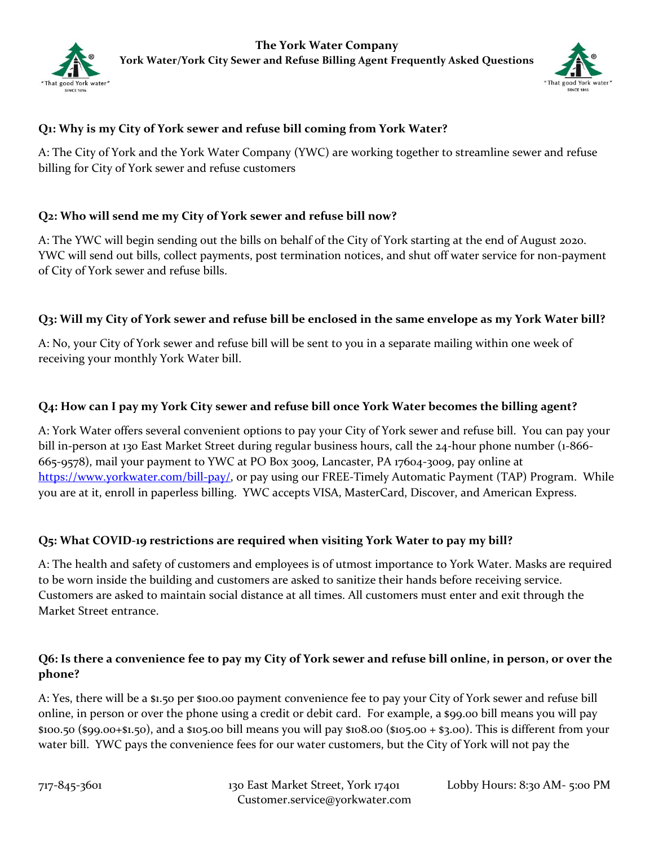



# **Q1: Why is my City of York sewer and refuse bill coming from York Water?**

A: The City of York and the York Water Company (YWC) are working together to streamline sewer and refuse billing for City of York sewer and refuse customers

# **Q2: Who will send me my City of York sewer and refuse bill now?**

A: The YWC will begin sending out the bills on behalf of the City of York starting at the end of August 2020. YWC will send out bills, collect payments, post termination notices, and shut off water service for non-payment of City of York sewer and refuse bills.

### **Q3: Will my City of York sewer and refuse bill be enclosed in the same envelope as my York Water bill?**

A: No, your City of York sewer and refuse bill will be sent to you in a separate mailing within one week of receiving your monthly York Water bill.

### **Q4: How can I pay my York City sewer and refuse bill once York Water becomes the billing agent?**

A: York Water offers several convenient options to pay your City of York sewer and refuse bill. You can pay your bill in-person at 130 East Market Street during regular business hours, call the 24-hour phone number (1-866- 665-9578), mail your payment to YWC at PO Box 3009, Lancaster, PA 17604-3009, pay online at [https://www.yorkwater.com/bill-pay/,](https://www.yorkwater.com/bill-pay/) or pay using our FREE-Timely Automatic Payment (TAP) Program. While you are at it, enroll in paperless billing. YWC accepts VISA, MasterCard, Discover, and American Express.

# **Q5: What COVID-19 restrictions are required when visiting York Water to pay my bill?**

A: The health and safety of customers and employees is of utmost importance to York Water. Masks are required to be worn inside the building and customers are asked to sanitize their hands before receiving service. Customers are asked to maintain social distance at all times. All customers must enter and exit through the Market Street entrance.

# **Q6: Is there a convenience fee to pay my City of York sewer and refuse bill online, in person, or over the phone?**

A: Yes, there will be a \$1.50 per \$100.00 payment convenience fee to pay your City of York sewer and refuse bill online, in person or over the phone using a credit or debit card. For example, a \$99.00 bill means you will pay \$100.50 (\$99.00+\$1.50), and a \$105.00 bill means you will pay \$108.00 (\$105.00 + \$3.00). This is different from your water bill. YWC pays the convenience fees for our water customers, but the City of York will not pay the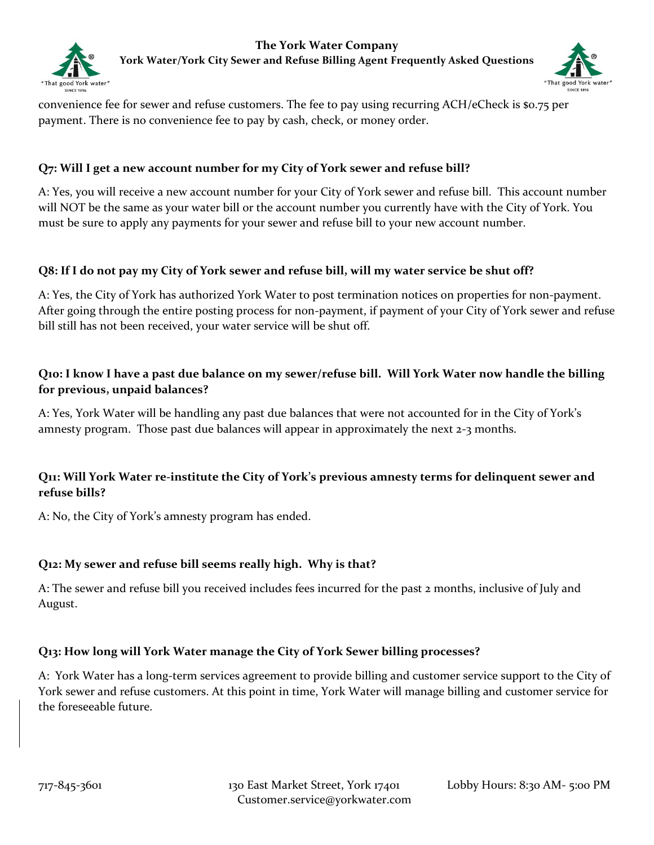



convenience fee for sewer and refuse customers. The fee to pay using recurring ACH/eCheck is \$0.75 per payment. There is no convenience fee to pay by cash, check, or money order.

### **Q7: Will I get a new account number for my City of York sewer and refuse bill?**

A: Yes, you will receive a new account number for your City of York sewer and refuse bill. This account number will NOT be the same as your water bill or the account number you currently have with the City of York. You must be sure to apply any payments for your sewer and refuse bill to your new account number.

#### **Q8: If I do not pay my City of York sewer and refuse bill, will my water service be shut off?**

A: Yes, the City of York has authorized York Water to post termination notices on properties for non-payment. After going through the entire posting process for non-payment, if payment of your City of York sewer and refuse bill still has not been received, your water service will be shut off.

# **Q10: I know I have a past due balance on my sewer/refuse bill. Will York Water now handle the billing for previous, unpaid balances?**

A: Yes, York Water will be handling any past due balances that were not accounted for in the City of York's amnesty program. Those past due balances will appear in approximately the next 2-3 months.

# **Q11: Will York Water re-institute the City of York's previous amnesty terms for delinquent sewer and refuse bills?**

A: No, the City of York's amnesty program has ended.

#### **Q12: My sewer and refuse bill seems really high. Why is that?**

A: The sewer and refuse bill you received includes fees incurred for the past 2 months, inclusive of July and August.

#### **Q13: How long will York Water manage the City of York Sewer billing processes?**

A: York Water has a long-term services agreement to provide billing and customer service support to the City of York sewer and refuse customers. At this point in time, York Water will manage billing and customer service for the foreseeable future.